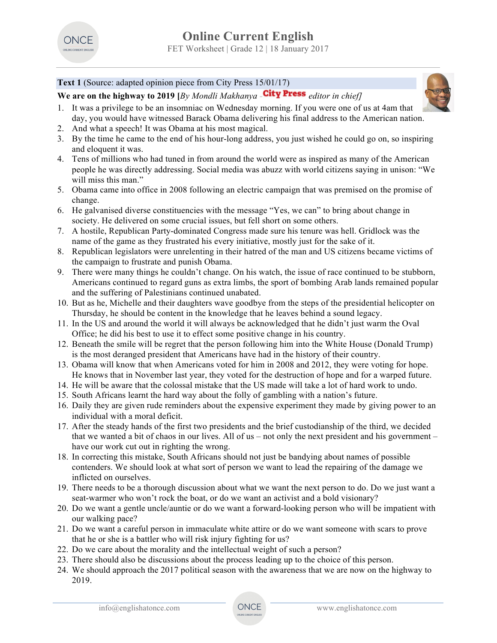

# **Text 1** (Source: adapted opinion piece from City Press 15/01/17)

**We are on the highway to 2019 [***By Mondli Makhanya - editor in chief]*

- 1. It was a privilege to be an insomniac on Wednesday morning. If you were one of us at 4am that day, you would have witnessed Barack Obama delivering his final address to the American nation.
- 2. And what a speech! It was Obama at his most magical.
- 3. By the time he came to the end of his hour-long address, you just wished he could go on, so inspiring and eloquent it was.
- 4. Tens of millions who had tuned in from around the world were as inspired as many of the American people he was directly addressing. Social media was abuzz with world citizens saying in unison: "We will miss this man."
- 5. Obama came into office in 2008 following an electric campaign that was premised on the promise of change.
- 6. He galvanised diverse constituencies with the message "Yes, we can" to bring about change in society. He delivered on some crucial issues, but fell short on some others.
- 7. A hostile, Republican Party-dominated Congress made sure his tenure was hell. Gridlock was the name of the game as they frustrated his every initiative, mostly just for the sake of it.
- 8. Republican legislators were unrelenting in their hatred of the man and US citizens became victims of the campaign to frustrate and punish Obama.
- 9. There were many things he couldn't change. On his watch, the issue of race continued to be stubborn, Americans continued to regard guns as extra limbs, the sport of bombing Arab lands remained popular and the suffering of Palestinians continued unabated.
- 10. But as he, Michelle and their daughters wave goodbye from the steps of the presidential helicopter on Thursday, he should be content in the knowledge that he leaves behind a sound legacy.
- 11. In the US and around the world it will always be acknowledged that he didn't just warm the Oval Office; he did his best to use it to effect some positive change in his country.
- 12. Beneath the smile will be regret that the person following him into the White House (Donald Trump) is the most deranged president that Americans have had in the history of their country.
- 13. Obama will know that when Americans voted for him in 2008 and 2012, they were voting for hope. He knows that in November last year, they voted for the destruction of hope and for a warped future.
- 14. He will be aware that the colossal mistake that the US made will take a lot of hard work to undo.
- 15. South Africans learnt the hard way about the folly of gambling with a nation's future.
- 16. Daily they are given rude reminders about the expensive experiment they made by giving power to an individual with a moral deficit.
- 17. After the steady hands of the first two presidents and the brief custodianship of the third, we decided that we wanted a bit of chaos in our lives. All of us – not only the next president and his government – have our work cut out in righting the wrong.
- 18. In correcting this mistake, South Africans should not just be bandying about names of possible contenders. We should look at what sort of person we want to lead the repairing of the damage we inflicted on ourselves.
- 19. There needs to be a thorough discussion about what we want the next person to do. Do we just want a seat-warmer who won't rock the boat, or do we want an activist and a bold visionary?
- 20. Do we want a gentle uncle/auntie or do we want a forward-looking person who will be impatient with our walking pace?
- 21. Do we want a careful person in immaculate white attire or do we want someone with scars to prove that he or she is a battler who will risk injury fighting for us?
- 22. Do we care about the morality and the intellectual weight of such a person?
- 23. There should also be discussions about the process leading up to the choice of this person.
- 24. We should approach the 2017 political season with the awareness that we are now on the highway to 2019.

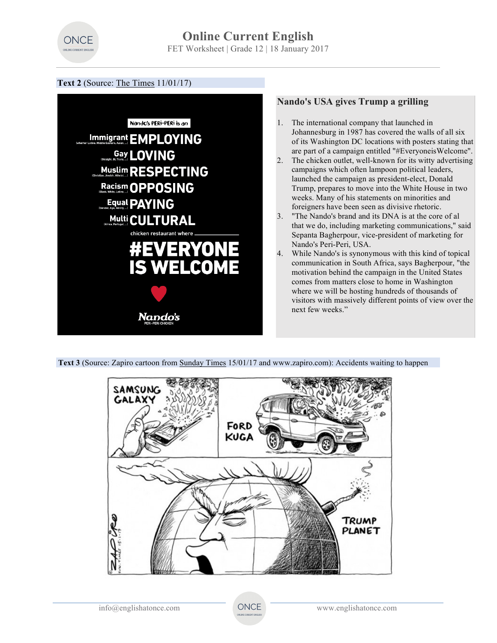

## **Text 2** (Source: The Times 11/01/17)



**Text 3** (Source: Zapiro cartoon from Sunday Times 15/01/17 and www.zapiro.com): Accidents waiting to happen

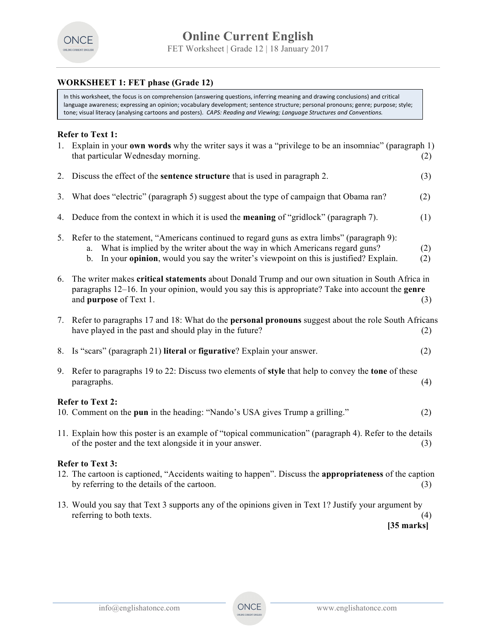

## **WORKSHEET 1: FET phase (Grade 12)**

In this worksheet, the focus is on comprehension (answering questions, inferring meaning and drawing conclusions) and critical language awareness; expressing an opinion; vocabulary development; sentence structure; personal pronouns; genre; purpose; style; tone; visual literacy (analysing cartoons and posters). CAPS: Reading and Viewing; Language Structures and Conventions.

## **Refer to Text 1:**

| 1.                                                                                                             | Explain in your <b>own words</b> why the writer says it was a "privilege to be an insomniac" (paragraph 1)<br>that particular Wednesday morning.<br>(2)                                                                                                                                           |            |  |  |
|----------------------------------------------------------------------------------------------------------------|---------------------------------------------------------------------------------------------------------------------------------------------------------------------------------------------------------------------------------------------------------------------------------------------------|------------|--|--|
| 2.                                                                                                             | Discuss the effect of the <b>sentence structure</b> that is used in paragraph 2.                                                                                                                                                                                                                  | (3)        |  |  |
| 3.                                                                                                             | What does "electric" (paragraph 5) suggest about the type of campaign that Obama ran?                                                                                                                                                                                                             | (2)        |  |  |
| 4.                                                                                                             | Deduce from the context in which it is used the <b>meaning</b> of "gridlock" (paragraph 7).                                                                                                                                                                                                       | (1)        |  |  |
|                                                                                                                | 5. Refer to the statement, "Americans continued to regard guns as extra limbs" (paragraph 9):<br>What is implied by the writer about the way in which Americans regard guns?<br>a.<br>In your <b>opinion</b> , would you say the writer's viewpoint on this is justified? Explain.<br>$b_{\cdot}$ | (2)<br>(2) |  |  |
| 6.                                                                                                             | The writer makes critical statements about Donald Trump and our own situation in South Africa in<br>paragraphs $12-16$ . In your opinion, would you say this is appropriate? Take into account the <b>genre</b><br>and purpose of Text 1.<br>(3)                                                  |            |  |  |
|                                                                                                                | 7. Refer to paragraphs 17 and 18: What do the <b>personal pronouns</b> suggest about the role South Africans<br>have played in the past and should play in the future?                                                                                                                            | (2)        |  |  |
| 8.                                                                                                             | Is "scars" (paragraph 21) literal or figurative? Explain your answer.                                                                                                                                                                                                                             | (2)        |  |  |
| 9.                                                                                                             | Refer to paragraphs 19 to 22: Discuss two elements of style that help to convey the tone of these<br>paragraphs.                                                                                                                                                                                  | (4)        |  |  |
| <b>Refer to Text 2:</b><br>10. Comment on the pun in the heading: "Nando's USA gives Trump a grilling."<br>(2) |                                                                                                                                                                                                                                                                                                   |            |  |  |
|                                                                                                                |                                                                                                                                                                                                                                                                                                   |            |  |  |
|                                                                                                                | 11. Explain how this poster is an example of "topical communication" (paragraph 4). Refer to the details<br>of the poster and the text alongside it in your answer.                                                                                                                               | (3)        |  |  |
|                                                                                                                | <b>Refer to Text 3:</b>                                                                                                                                                                                                                                                                           |            |  |  |
|                                                                                                                | 12. The cartoon is captioned, "Accidents waiting to happen". Discuss the appropriateness of the caption<br>by referring to the details of the cartoon.                                                                                                                                            | (3)        |  |  |
|                                                                                                                | 13. Would you say that Text 3 supports any of the opinions given in Text 1? Justify your argument by                                                                                                                                                                                              |            |  |  |

referring to both texts. (4)  **[35 marks]**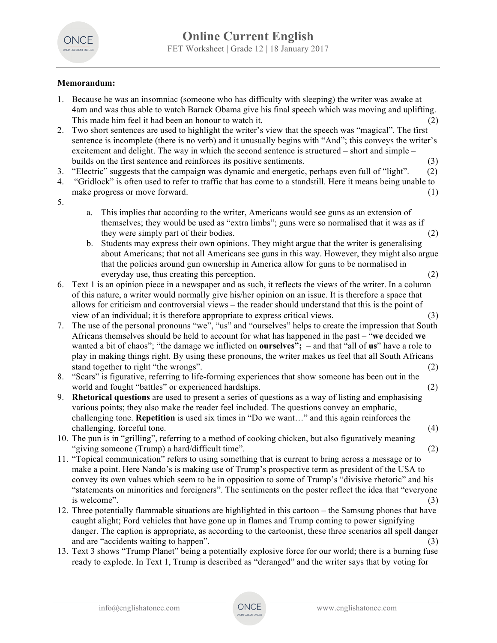

## **Memorandum:**

| 1. | Because he was an insomniac (someone who has difficulty with sleeping) the writer was awake at<br>4am and was thus able to watch Barack Obama give his final speech which was moving and uplifting.                                         |
|----|---------------------------------------------------------------------------------------------------------------------------------------------------------------------------------------------------------------------------------------------|
| 2. | This made him feel it had been an honour to watch it.<br>(2)<br>Two short sentences are used to highlight the writer's view that the speech was "magical". The first                                                                        |
|    | sentence is incomplete (there is no verb) and it unusually begins with "And"; this conveys the writer's<br>excitement and delight. The way in which the second sentence is structured – short and simple –                                  |
| 3. | builds on the first sentence and reinforces its positive sentiments.<br>(3)<br>"Electric" suggests that the campaign was dynamic and energetic, perhaps even full of "light".<br>(2)                                                        |
| 4. | "Gridlock" is often used to refer to traffic that has come to a standstill. Here it means being unable to<br>make progress or move forward.<br>(1)                                                                                          |
| 5. |                                                                                                                                                                                                                                             |
|    | This implies that according to the writer, Americans would see guns as an extension of<br>a.<br>themselves; they would be used as "extra limbs"; guns were so normalised that it was as if<br>they were simply part of their bodies.<br>(2) |
|    | Students may express their own opinions. They might argue that the writer is generalising<br>b.<br>about Americans; that not all Americans see guns in this way. However, they might also argue                                             |
|    | that the policies around gun ownership in America allow for guns to be normalised in                                                                                                                                                        |
|    | everyday use, thus creating this perception.<br>(2)                                                                                                                                                                                         |
| 6. | Text 1 is an opinion piece in a newspaper and as such, it reflects the views of the writer. In a column<br>of this nature, a writer would normally give his/her opinion on an issue. It is therefore a space that                           |
|    | allows for criticism and controversial views – the reader should understand that this is the point of                                                                                                                                       |
|    | view of an individual; it is therefore appropriate to express critical views.<br>(3)                                                                                                                                                        |
| 7. | The use of the personal pronouns "we", "us" and "ourselves" helps to create the impression that South                                                                                                                                       |
|    | Africans themselves should be held to account for what has happened in the past – "we decided we                                                                                                                                            |
|    | wanted a bit of chaos"; "the damage we inflicted on <b>ourselves"</b> ; – and that "all of <b>us</b> " have a role to                                                                                                                       |
|    | play in making things right. By using these pronouns, the writer makes us feel that all South Africans<br>stand together to right "the wrongs".                                                                                             |
| 8. | (2)<br>"Scars" is figurative, referring to life-forming experiences that show someone has been out in the                                                                                                                                   |
|    | world and fought "battles" or experienced hardships.<br>(2)                                                                                                                                                                                 |
| 9. | <b>Rhetorical questions</b> are used to present a series of questions as a way of listing and emphasising                                                                                                                                   |
|    | various points; they also make the reader feel included. The questions convey an emphatic,                                                                                                                                                  |
|    | challenging tone. Repetition is used six times in "Do we want" and this again reinforces the                                                                                                                                                |
|    | challenging, forceful tone.<br>(4)                                                                                                                                                                                                          |
|    | 10. The pun is in "grilling", referring to a method of cooking chicken, but also figuratively meaning<br>"giving someone (Trump) a hard/difficult time".<br>(2)                                                                             |
|    | 11. "Topical communication" refers to using something that is current to bring across a message or to                                                                                                                                       |
|    | make a point. Here Nando's is making use of Trump's prospective term as president of the USA to                                                                                                                                             |
|    | convey its own values which seem to be in opposition to some of Trump's "divisive rhetoric" and his                                                                                                                                         |
|    | "statements on minorities and foreigners". The sentiments on the poster reflect the idea that "everyone"                                                                                                                                    |
|    | is welcome".<br>(3)                                                                                                                                                                                                                         |
|    | 12. Three potentially flammable situations are highlighted in this cartoon – the Samsung phones that have                                                                                                                                   |
|    | caught alight; Ford vehicles that have gone up in flames and Trump coming to power signifying                                                                                                                                               |
|    | danger. The caption is appropriate, as according to the cartoonist, these three scenarios all spell danger<br>and are "accidents waiting to happen".                                                                                        |
|    | (3)<br>13. Text 3 shows "Trump Planet" being a potentially explosive force for our world; there is a burning fuse                                                                                                                           |
|    | ready to explode. In Text 1, Trump is described as "deranged" and the writer says that by voting for                                                                                                                                        |